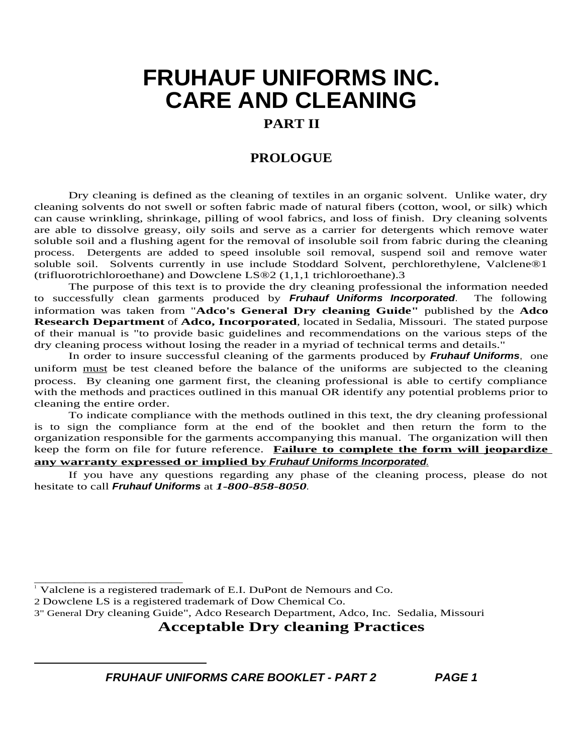### **PART II**

### **PROLOGUE**

Dry cleaning is defined as the cleaning of textiles in an organic solvent. Unlike water, dry cleaning solvents do not swell or soften fabric made of natural fibers (cotton, wool, or silk) which can cause wrinkling, shrinkage, pilling of wool fabrics, and loss of finish. Dry cleaning solvents are able to dissolve greasy, oily soils and serve as a carrier for detergents which remove water soluble soil and a flushing agent for the removal of insoluble soil from fabric during the cleaning process. Detergents are added to speed insoluble soil removal, suspend soil and remove water soluble soil. Solvents currently in use include Stoddard Solvent, perchlorethylene, Valclene®1 (trifluorotrichloroethane) and Dowclene LS®2 (1,1,1 trichloroethane).3

The purpose of this text is to provide the dry cleaning professional the information needed to successfully clean garments produced by **Fruhauf Uniforms Incorporated**. The following information was taken from "**Adco's General Dry cleaning Guide"** published by the **Adco Research Department** of **Adco, Incorporated**, located in Sedalia, Missouri. The stated purpose of their manual is "to provide basic guidelines and recommendations on the various steps of the dry cleaning process without losing the reader in a myriad of technical terms and details."

In order to insure successful cleaning of the garments produced by **Fruhauf Uniforms**, one uniform must be test cleaned before the balance of the uniforms are subjected to the cleaning process. By cleaning one garment first, the cleaning professional is able to certify compliance with the methods and practices outlined in this manual OR identify any potential problems prior to cleaning the entire order.

To indicate compliance with the methods outlined in this text, the dry cleaning professional is to sign the compliance form at the end of the booklet and then return the form to the organization responsible for the garments accompanying this manual. The organization will then keep the form on file for future reference. **Failure to complete the form will jeopardize any warranty expressed or implied by Fruhauf Uniforms Incorporated**.

If you have any questions regarding any phase of the cleaning process, please do not hesitate to call **Fruhauf Uniforms** at *1-800-858-8050*.

\_\_\_\_\_\_\_\_\_\_\_\_\_\_\_\_\_\_\_\_\_\_\_\_\_\_

### **Acceptable Dry cleaning Practices**

<sup>&</sup>lt;sup>1</sup> Valclene is a registered trademark of E.I. DuPont de Nemours and Co.

<sup>2</sup> Dowclene LS is a registered trademark of Dow Chemical Co.

<sup>3&</sup>quot; General Dry cleaning Guide", Adco Research Department, Adco, Inc. Sedalia, Missouri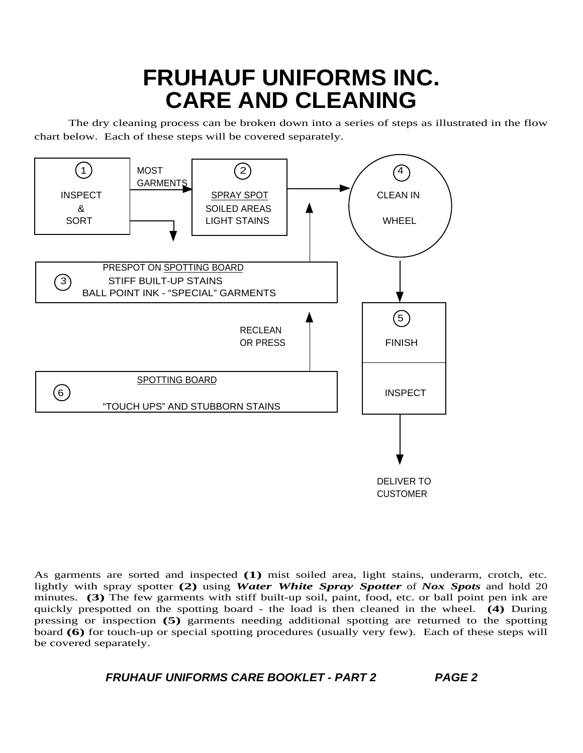The dry cleaning process can be broken down into a series of steps as illustrated in the flow chart below. Each of these steps will be covered separately.



As garments are sorted and inspected **(1)** mist soiled area, light stains, underarm, crotch, etc. lightly with spray spotter **(2)** using *Water White Spray Spotter* of *Nox Spots* and hold 20 minutes. **(3)** The few garments with stiff built-up soil, paint, food, etc. or ball point pen ink are quickly prespotted on the spotting board - the load is then cleaned in the wheel. **(4)** During pressing or inspection **(5)** garments needing additional spotting are returned to the spotting board **(6)** for touch-up or special spotting procedures (usually very few). Each of these steps will be covered separately.

```
FRUHAUF UNIFORMS CARE BOOKLET - PART 2 PAGE 2
```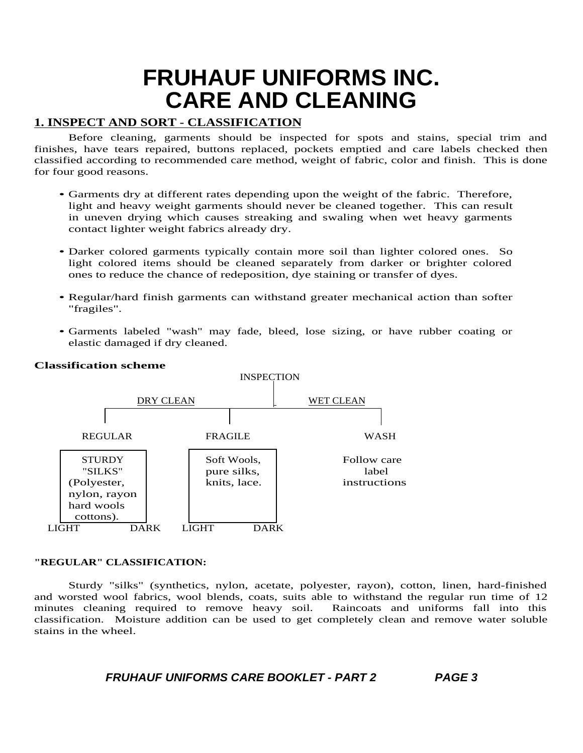### **1. INSPECT AND SORT - CLASSIFICATION**

Before cleaning, garments should be inspected for spots and stains, special trim and finishes, have tears repaired, buttons replaced, pockets emptied and care labels checked then classified according to recommended care method, weight of fabric, color and finish. This is done for four good reasons.

- Garments dry at different rates depending upon the weight of the fabric. Therefore, light and heavy weight garments should never be cleaned together. This can result in uneven drying which causes streaking and swaling when wet heavy garments contact lighter weight fabrics already dry.
- Darker colored garments typically contain more soil than lighter colored ones. So light colored items should be cleaned separately from darker or brighter colored ones to reduce the chance of redeposition, dye staining or transfer of dyes.
- Regular/hard finish garments can withstand greater mechanical action than softer "fragiles".
- Garments labeled "wash" may fade, bleed, lose sizing, or have rubber coating or elastic damaged if dry cleaned.



### **Classification scheme**

### **"REGULAR" CLASSIFICATION:**

Sturdy "silks" (synthetics, nylon, acetate, polyester, rayon), cotton, linen, hard-finished and worsted wool fabrics, wool blends, coats, suits able to withstand the regular run time of 12 minutes cleaning required to remove heavy soil. Raincoats and uniforms fall into this minutes cleaning required to remove heavy soil. classification. Moisture addition can be used to get completely clean and remove water soluble stains in the wheel.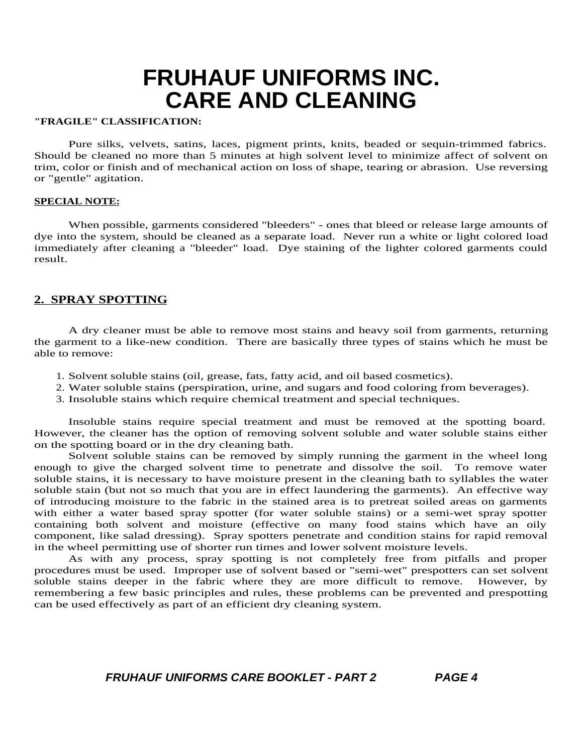#### **"FRAGILE" CLASSIFICATION:**

Pure silks, velvets, satins, laces, pigment prints, knits, beaded or sequin-trimmed fabrics. Should be cleaned no more than 5 minutes at high solvent level to minimize affect of solvent on trim, color or finish and of mechanical action on loss of shape, tearing or abrasion. Use reversing or "gentle" agitation.

#### **SPECIAL NOTE:**

When possible, garments considered "bleeders" - ones that bleed or release large amounts of dye into the system, should be cleaned as a separate load. Never run a white or light colored load immediately after cleaning a "bleeder" load. Dye staining of the lighter colored garments could result.

### **2. SPRAY SPOTTING**

A dry cleaner must be able to remove most stains and heavy soil from garments, returning the garment to a like-new condition. There are basically three types of stains which he must be able to remove:

- 1. Solvent soluble stains (oil, grease, fats, fatty acid, and oil based cosmetics).
- 2. Water soluble stains (perspiration, urine, and sugars and food coloring from beverages).
- 3. Insoluble stains which require chemical treatment and special techniques.

Insoluble stains require special treatment and must be removed at the spotting board. However, the cleaner has the option of removing solvent soluble and water soluble stains either on the spotting board or in the dry cleaning bath.

Solvent soluble stains can be removed by simply running the garment in the wheel long enough to give the charged solvent time to penetrate and dissolve the soil. To remove water soluble stains, it is necessary to have moisture present in the cleaning bath to syllables the water soluble stain (but not so much that you are in effect laundering the garments). An effective way of introducing moisture to the fabric in the stained area is to pretreat soiled areas on garments with either a water based spray spotter (for water soluble stains) or a semi-wet spray spotter containing both solvent and moisture (effective on many food stains which have an oily component, like salad dressing). Spray spotters penetrate and condition stains for rapid removal in the wheel permitting use of shorter run times and lower solvent moisture levels.

As with any process, spray spotting is not completely free from pitfalls and proper procedures must be used. Improper use of solvent based or "semi-wet" prespotters can set solvent soluble stains deeper in the fabric where they are more difficult to remove. However, by remembering a few basic principles and rules, these problems can be prevented and prespotting can be used effectively as part of an efficient dry cleaning system.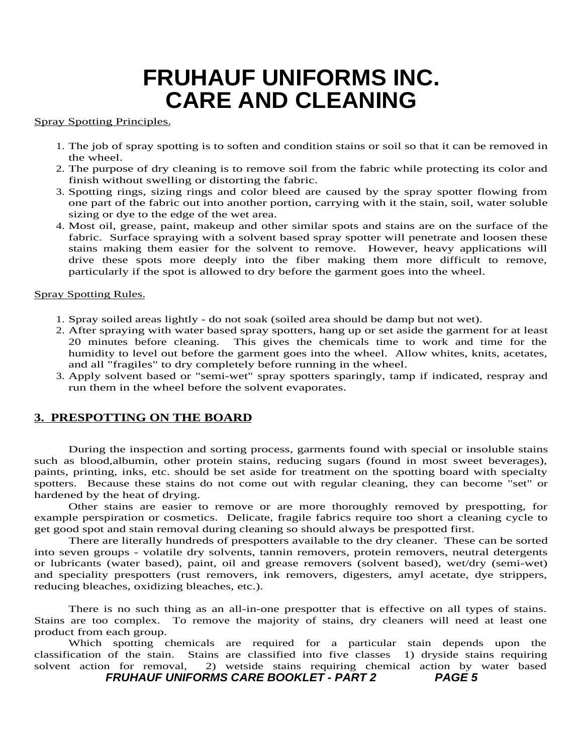#### Spray Spotting Principles.

- 1. The job of spray spotting is to soften and condition stains or soil so that it can be removed in the wheel.
- 2. The purpose of dry cleaning is to remove soil from the fabric while protecting its color and finish without swelling or distorting the fabric.
- 3. Spotting rings, sizing rings and color bleed are caused by the spray spotter flowing from one part of the fabric out into another portion, carrying with it the stain, soil, water soluble sizing or dye to the edge of the wet area.
- 4. Most oil, grease, paint, makeup and other similar spots and stains are on the surface of the fabric. Surface spraying with a solvent based spray spotter will penetrate and loosen these stains making them easier for the solvent to remove. However, heavy applications will drive these spots more deeply into the fiber making them more difficult to remove, particularly if the spot is allowed to dry before the garment goes into the wheel.

#### Spray Spotting Rules.

- 1. Spray soiled areas lightly do not soak (soiled area should be damp but not wet).
- 2. After spraying with water based spray spotters, hang up or set aside the garment for at least 20 minutes before cleaning. This gives the chemicals time to work and time for the This gives the chemicals time to work and time for the humidity to level out before the garment goes into the wheel. Allow whites, knits, acetates, and all "fragiles" to dry completely before running in the wheel.
- 3. Apply solvent based or "semi-wet" spray spotters sparingly, tamp if indicated, respray and run them in the wheel before the solvent evaporates.

### **3. PRESPOTTING ON THE BOARD**

During the inspection and sorting process, garments found with special or insoluble stains such as blood,albumin, other protein stains, reducing sugars (found in most sweet beverages), paints, printing, inks, etc. should be set aside for treatment on the spotting board with specialty spotters. Because these stains do not come out with regular cleaning, they can become "set" or hardened by the heat of drying.

Other stains are easier to remove or are more thoroughly removed by prespotting, for example perspiration or cosmetics. Delicate, fragile fabrics require too short a cleaning cycle to get good spot and stain removal during cleaning so should always be prespotted first.

There are literally hundreds of prespotters available to the dry cleaner. These can be sorted into seven groups - volatile dry solvents, tannin removers, protein removers, neutral detergents or lubricants (water based), paint, oil and grease removers (solvent based), wet/dry (semi-wet) and speciality prespotters (rust removers, ink removers, digesters, amyl acetate, dye strippers, reducing bleaches, oxidizing bleaches, etc.).

There is no such thing as an all-in-one prespotter that is effective on all types of stains. Stains are too complex. To remove the majority of stains, dry cleaners will need at least one product from each group.

Which spotting chemicals are required for a particular stain depends upon the classification of the stain. Stains are classified into five classes 1) dryside stains requiring solvent action for removal, 2) wetside stains requiring chemical action by water based **FRUHAUF UNIFORMS CARE BOOKLET - PART 2 PAGE 5**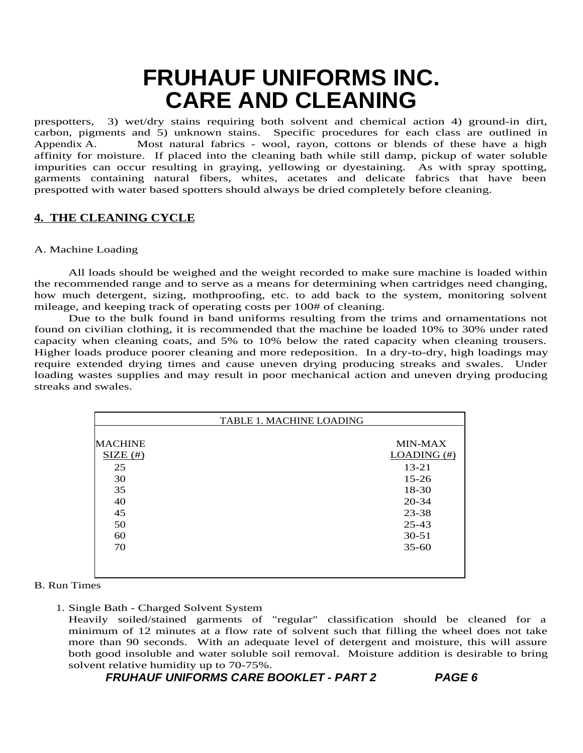prespotters, 3) wet/dry stains requiring both solvent and chemical action 4) ground-in dirt, carbon, pigments and 5) unknown stains. Specific procedures for each class are outlined in Appendix A. Most natural fabrics - wool, rayon, cottons or blends of these have a high affinity for moisture. If placed into the cleaning bath while still damp, pickup of water soluble impurities can occur resulting in graying, yellowing or dyestaining. As with spray spotting, garments containing natural fibers, whites, acetates and delicate fabrics that have been prespotted with water based spotters should always be dried completely before cleaning.

### **4. THE CLEANING CYCLE**

#### A. Machine Loading

All loads should be weighed and the weight recorded to make sure machine is loaded within the recommended range and to serve as a means for determining when cartridges need changing, how much detergent, sizing, mothproofing, etc. to add back to the system, monitoring solvent mileage, and keeping track of operating costs per 100# of cleaning.

Due to the bulk found in band uniforms resulting from the trims and ornamentations not found on civilian clothing, it is recommended that the machine be loaded 10% to 30% under rated capacity when cleaning coats, and 5% to 10% below the rated capacity when cleaning trousers. Higher loads produce poorer cleaning and more redeposition. In a dry-to-dry, high loadings may require extended drying times and cause uneven drying producing streaks and swales. Under loading wastes supplies and may result in poor mechanical action and uneven drying producing streaks and swales.

| <b>MACHINE</b> | <b>MIN-MAX</b> |
|----------------|----------------|
| SIZE (#)       | LOADING $(\#)$ |
| 25             | $13 - 21$      |
| 30             | $15 - 26$      |
| 35             | 18-30          |
| 40             | $20 - 34$      |
| 45             | 23-38          |
| 50             | $25 - 43$      |
| 60             | $30 - 51$      |
| 70             | $35 - 60$      |

#### B. Run Times

1. Single Bath - Charged Solvent System

Heavily soiled/stained garments of "regular" classification should be cleaned for a minimum of 12 minutes at a flow rate of solvent such that filling the wheel does not take more than 90 seconds. With an adequate level of detergent and moisture, this will assure both good insoluble and water soluble soil removal. Moisture addition is desirable to bring solvent relative humidity up to 70-75%.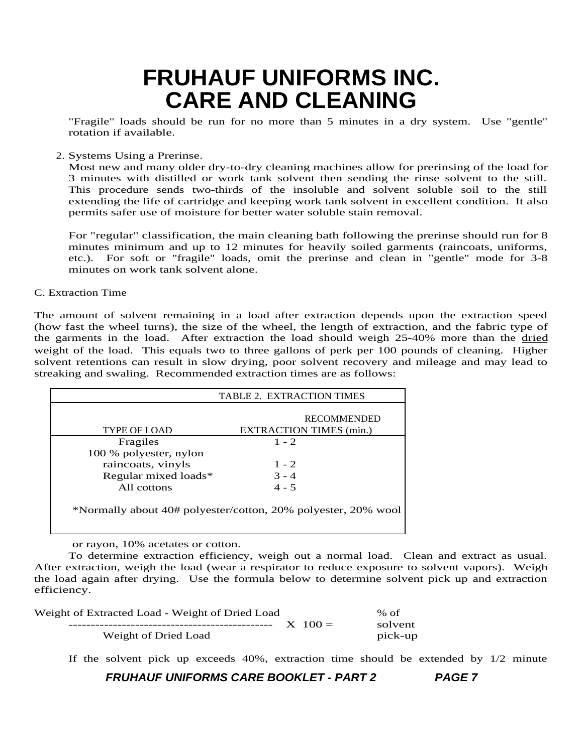"Fragile" loads should be run for no more than 5 minutes in a dry system. Use "gentle" rotation if available.

2. Systems Using a Prerinse.

Most new and many older dry-to-dry cleaning machines allow for prerinsing of the load for 3 minutes with distilled or work tank solvent then sending the rinse solvent to the still. This procedure sends two-thirds of the insoluble and solvent soluble soil to the still extending the life of cartridge and keeping work tank solvent in excellent condition. It also permits safer use of moisture for better water soluble stain removal.

For "regular" classification, the main cleaning bath following the prerinse should run for 8 minutes minimum and up to 12 minutes for heavily soiled garments (raincoats, uniforms, etc.). For soft or "fragile" loads, omit the prerinse and clean in "gentle" mode for 3-8 minutes on work tank solvent alone.

#### C. Extraction Time

The amount of solvent remaining in a load after extraction depends upon the extraction speed (how fast the wheel turns), the size of the wheel, the length of extraction, and the fabric type of the garments in the load. After extraction the load should weigh 25-40% more than the dried weight of the load. This equals two to three gallons of perk per 100 pounds of cleaning. Higher solvent retentions can result in slow drying, poor solvent recovery and mileage and may lead to streaking and swaling. Recommended extraction times are as follows:

| <b>TABLE 2. EXTRACTION TIMES</b>                              |                                |  |  |  |  |
|---------------------------------------------------------------|--------------------------------|--|--|--|--|
|                                                               | <b>RECOMMENDED</b>             |  |  |  |  |
|                                                               |                                |  |  |  |  |
| <b>TYPE OF LOAD</b>                                           | <b>EXTRACTION TIMES (min.)</b> |  |  |  |  |
| Fragiles                                                      | $1 - 2$                        |  |  |  |  |
| 100 % polyester, nylon                                        |                                |  |  |  |  |
| raincoats, vinyls                                             | $1 - 2$                        |  |  |  |  |
| Regular mixed loads*                                          | $3 - 4$                        |  |  |  |  |
| All cottons                                                   | $4 - 5$                        |  |  |  |  |
| *Normally about 40# polyester/cotton, 20% polyester, 20% wool |                                |  |  |  |  |

or rayon, 10% acetates or cotton.

To determine extraction efficiency, weigh out a normal load. Clean and extract as usual. After extraction, weigh the load (wear a respirator to reduce exposure to solvent vapors). Weigh the load again after drying. Use the formula below to determine solvent pick up and extraction efficiency.

| Weight of Extracted Load - Weight of Dried Load |             | % of    |
|-------------------------------------------------|-------------|---------|
|                                                 | $X_{100} =$ | solvent |
| Weight of Dried Load                            |             | pick-up |

If the solvent pick up exceeds 40%, extraction time should be extended by 1/2 minute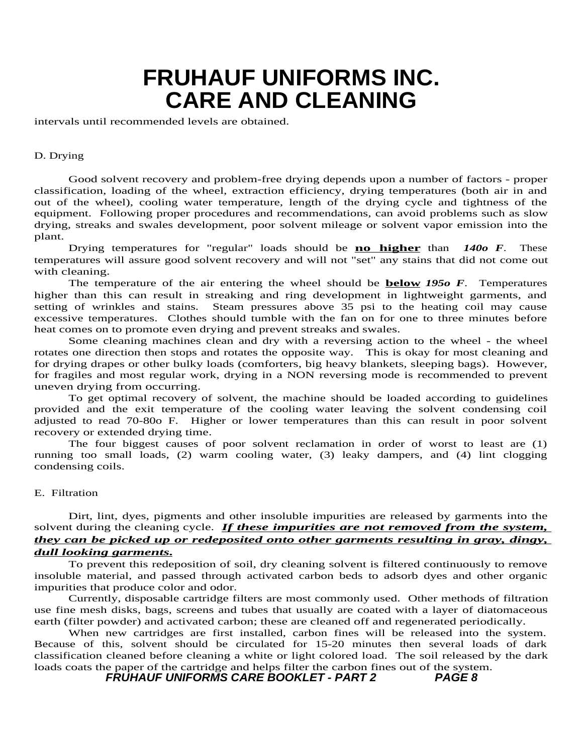intervals until recommended levels are obtained.

#### D. Drying

Good solvent recovery and problem-free drying depends upon a number of factors - proper classification, loading of the wheel, extraction efficiency, drying temperatures (both air in and out of the wheel), cooling water temperature, length of the drying cycle and tightness of the equipment. Following proper procedures and recommendations, can avoid problems such as slow drying, streaks and swales development, poor solvent mileage or solvent vapor emission into the plant.

Drying temperatures for "regular" loads should be **no higher** than *140o F*. These temperatures will assure good solvent recovery and will not "set" any stains that did not come out with cleaning.

The temperature of the air entering the wheel should be **below** *195o F*. Temperatures higher than this can result in streaking and ring development in lightweight garments, and setting of wrinkles and stains. Steam pressures above 35 psi to the heating coil may cause excessive temperatures. Clothes should tumble with the fan on for one to three minutes before heat comes on to promote even drying and prevent streaks and swales.

Some cleaning machines clean and dry with a reversing action to the wheel - the wheel rotates one direction then stops and rotates the opposite way. This is okay for most cleaning and for drying drapes or other bulky loads (comforters, big heavy blankets, sleeping bags). However, for fragiles and most regular work, drying in a NON reversing mode is recommended to prevent uneven drying from occurring.

To get optimal recovery of solvent, the machine should be loaded according to guidelines provided and the exit temperature of the cooling water leaving the solvent condensing coil adjusted to read 70-80o F. Higher or lower temperatures than this can result in poor solvent recovery or extended drying time.

The four biggest causes of poor solvent reclamation in order of worst to least are (1) running too small loads, (2) warm cooling water, (3) leaky dampers, and (4) lint clogging condensing coils.

#### E. Filtration

Dirt, lint, dyes, pigments and other insoluble impurities are released by garments into the solvent during the cleaning cycle. *If these impurities are not removed from the system, they can be picked up or redeposited onto other garments resulting in gray, dingy, dull looking garments.*

To prevent this redeposition of soil, dry cleaning solvent is filtered continuously to remove insoluble material, and passed through activated carbon beds to adsorb dyes and other organic impurities that produce color and odor.

Currently, disposable cartridge filters are most commonly used. Other methods of filtration use fine mesh disks, bags, screens and tubes that usually are coated with a layer of diatomaceous earth (filter powder) and activated carbon; these are cleaned off and regenerated periodically.

When new cartridges are first installed, carbon fines will be released into the system. Because of this, solvent should be circulated for 15-20 minutes then several loads of dark classification cleaned before cleaning a white or light colored load. The soil released by the dark loads coats the paper of the cartridge and helps filter the carbon fines out of the system.<br>FRUHAUF UNIFORMS CARE BOOKLET - PART 2 PAGE 8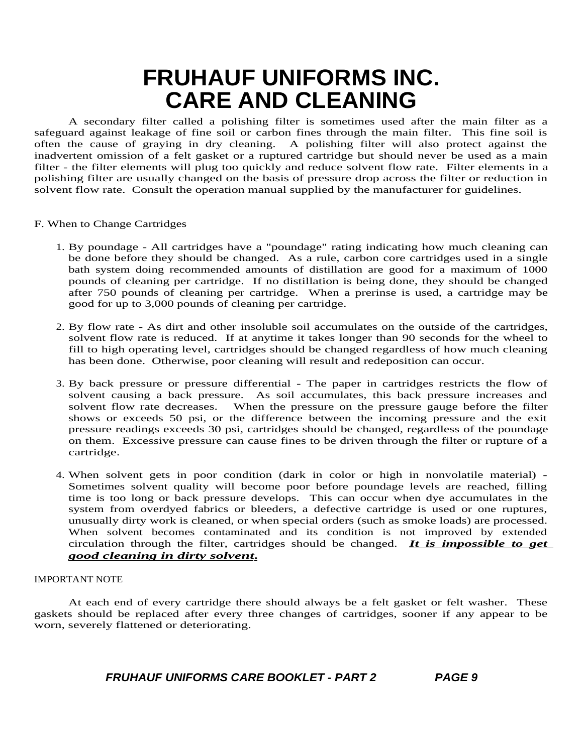A secondary filter called a polishing filter is sometimes used after the main filter as a safeguard against leakage of fine soil or carbon fines through the main filter. This fine soil is often the cause of graying in dry cleaning. A polishing filter will also protect against the inadvertent omission of a felt gasket or a ruptured cartridge but should never be used as a main filter - the filter elements will plug too quickly and reduce solvent flow rate. Filter elements in a polishing filter are usually changed on the basis of pressure drop across the filter or reduction in solvent flow rate. Consult the operation manual supplied by the manufacturer for guidelines.

- F. When to Change Cartridges
	- 1. By poundage All cartridges have a "poundage" rating indicating how much cleaning can be done before they should be changed. As a rule, carbon core cartridges used in a single bath system doing recommended amounts of distillation are good for a maximum of 1000 pounds of cleaning per cartridge. If no distillation is being done, they should be changed after 750 pounds of cleaning per cartridge. When a prerinse is used, a cartridge may be good for up to 3,000 pounds of cleaning per cartridge.
	- 2. By flow rate As dirt and other insoluble soil accumulates on the outside of the cartridges, solvent flow rate is reduced. If at anytime it takes longer than 90 seconds for the wheel to fill to high operating level, cartridges should be changed regardless of how much cleaning has been done. Otherwise, poor cleaning will result and redeposition can occur.
	- 3. By back pressure or pressure differential The paper in cartridges restricts the flow of solvent causing a back pressure. As soil accumulates, this back pressure increases and solvent flow rate decreases. When the pressure on the pressure gauge before the filter shows or exceeds 50 psi, or the difference between the incoming pressure and the exit pressure readings exceeds 30 psi, cartridges should be changed, regardless of the poundage on them. Excessive pressure can cause fines to be driven through the filter or rupture of a cartridge.
	- 4. When solvent gets in poor condition (dark in color or high in nonvolatile material) Sometimes solvent quality will become poor before poundage levels are reached, filling time is too long or back pressure develops. This can occur when dye accumulates in the system from overdyed fabrics or bleeders, a defective cartridge is used or one ruptures, unusually dirty work is cleaned, or when special orders (such as smoke loads) are processed. When solvent becomes contaminated and its condition is not improved by extended circulation through the filter, cartridges should be changed. *It is impossible to get good cleaning in dirty solvent***.**

#### IMPORTANT NOTE

At each end of every cartridge there should always be a felt gasket or felt washer. These gaskets should be replaced after every three changes of cartridges, sooner if any appear to be worn, severely flattened or deteriorating.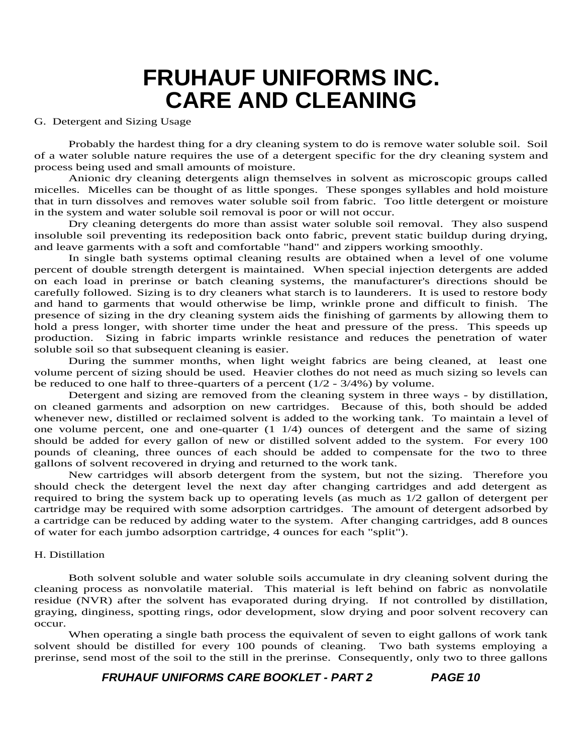#### G. Detergent and Sizing Usage

Probably the hardest thing for a dry cleaning system to do is remove water soluble soil. Soil of a water soluble nature requires the use of a detergent specific for the dry cleaning system and process being used and small amounts of moisture.

Anionic dry cleaning detergents align themselves in solvent as microscopic groups called micelles. Micelles can be thought of as little sponges. These sponges syllables and hold moisture that in turn dissolves and removes water soluble soil from fabric. Too little detergent or moisture in the system and water soluble soil removal is poor or will not occur.

Dry cleaning detergents do more than assist water soluble soil removal. They also suspend insoluble soil preventing its redeposition back onto fabric, prevent static buildup during drying, and leave garments with a soft and comfortable "hand" and zippers working smoothly.

In single bath systems optimal cleaning results are obtained when a level of one volume percent of double strength detergent is maintained. When special injection detergents are added on each load in prerinse or batch cleaning systems, the manufacturer's directions should be carefully followed. Sizing is to dry cleaners what starch is to launderers. It is used to restore body and hand to garments that would otherwise be limp, wrinkle prone and difficult to finish. The presence of sizing in the dry cleaning system aids the finishing of garments by allowing them to hold a press longer, with shorter time under the heat and pressure of the press. This speeds up production. Sizing in fabric imparts wrinkle resistance and reduces the penetration of water soluble soil so that subsequent cleaning is easier.

During the summer months, when light weight fabrics are being cleaned, at least one volume percent of sizing should be used. Heavier clothes do not need as much sizing so levels can be reduced to one half to three-quarters of a percent  $(1/2 - 3/4%)$  by volume.

Detergent and sizing are removed from the cleaning system in three ways - by distillation, on cleaned garments and adsorption on new cartridges. Because of this, both should be added whenever new, distilled or reclaimed solvent is added to the working tank. To maintain a level of one volume percent, one and one-quarter  $(1 \ 1/4)$  ounces of detergent and the same of sizing should be added for every gallon of new or distilled solvent added to the system. For every 100 pounds of cleaning, three ounces of each should be added to compensate for the two to three gallons of solvent recovered in drying and returned to the work tank.

New cartridges will absorb detergent from the system, but not the sizing. Therefore you should check the detergent level the next day after changing cartridges and add detergent as required to bring the system back up to operating levels (as much as 1/2 gallon of detergent per cartridge may be required with some adsorption cartridges. The amount of detergent adsorbed by a cartridge can be reduced by adding water to the system. After changing cartridges, add 8 ounces of water for each jumbo adsorption cartridge, 4 ounces for each "split").

#### H. Distillation

Both solvent soluble and water soluble soils accumulate in dry cleaning solvent during the cleaning process as nonvolatile material. This material is left behind on fabric as nonvolatile residue (NVR) after the solvent has evaporated during drying. If not controlled by distillation, graying, dinginess, spotting rings, odor development, slow drying and poor solvent recovery can occur.

When operating a single bath process the equivalent of seven to eight gallons of work tank solvent should be distilled for every 100 pounds of cleaning. Two bath systems employing a prerinse, send most of the soil to the still in the prerinse. Consequently, only two to three gallons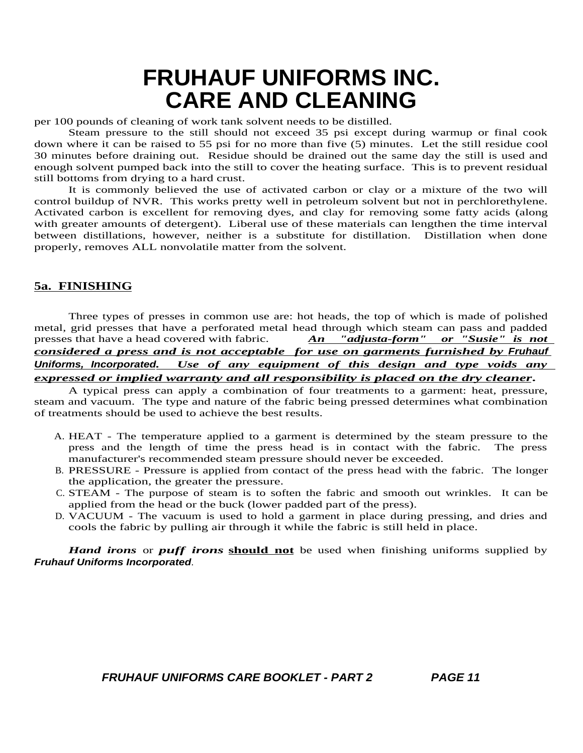per 100 pounds of cleaning of work tank solvent needs to be distilled.

Steam pressure to the still should not exceed 35 psi except during warmup or final cook down where it can be raised to 55 psi for no more than five (5) minutes. Let the still residue cool 30 minutes before draining out. Residue should be drained out the same day the still is used and enough solvent pumped back into the still to cover the heating surface. This is to prevent residual still bottoms from drying to a hard crust.

It is commonly believed the use of activated carbon or clay or a mixture of the two will control buildup of NVR. This works pretty well in petroleum solvent but not in perchlorethylene. Activated carbon is excellent for removing dyes, and clay for removing some fatty acids (along with greater amounts of detergent). Liberal use of these materials can lengthen the time interval between distillations, however, neither is a substitute for distillation. Distillation when done properly, removes ALL nonvolatile matter from the solvent.

### **5a. FINISHING**

Three types of presses in common use are: hot heads, the top of which is made of polished metal, grid presses that have a perforated metal head through which steam can pass and padded presses that have a head covered with fabric. *An "adjusta-form" or "Susie" is not considered a press and is not acceptable for use on garments furnished by* **Fruhauf Uniforms, Incorporated***. Use of any equipment of this design and type voids any expressed or implied warranty and all responsibility is placed on the dry cleaner***.**

A typical press can apply a combination of four treatments to a garment: heat, pressure, steam and vacuum. The type and nature of the fabric being pressed determines what combination of treatments should be used to achieve the best results.

- A. HEAT The temperature applied to a garment is determined by the steam pressure to the press and the length of time the press head is in contact with the fabric. The press manufacturer's recommended steam pressure should never be exceeded.
- B. PRESSURE Pressure is applied from contact of the press head with the fabric. The longer the application, the greater the pressure.
- C. STEAM The purpose of steam is to soften the fabric and smooth out wrinkles. It can be applied from the head or the buck (lower padded part of the press).
- D. VACUUM The vacuum is used to hold a garment in place during pressing, and dries and cools the fabric by pulling air through it while the fabric is still held in place.

*Hand irons* or *puff irons* **should not** be used when finishing uniforms supplied by **Fruhauf Uniforms Incorporated**.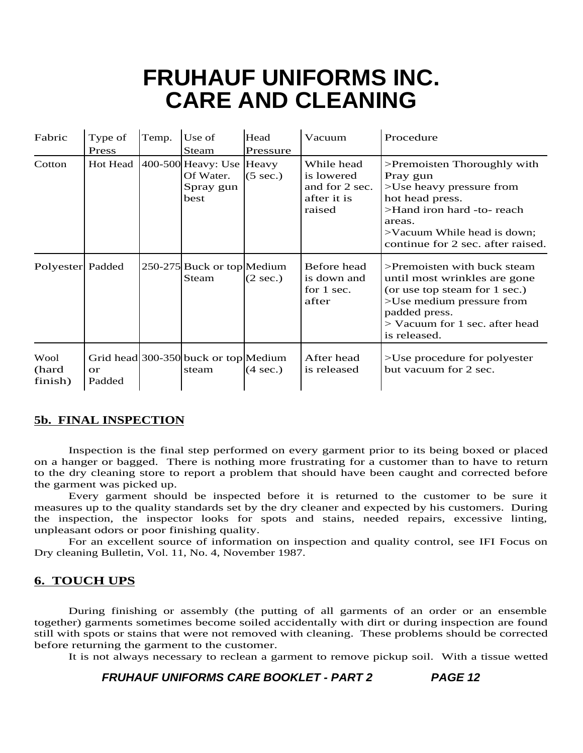| Fabric                   | Type of<br>Press    | Temp. | Use of<br>Steam                                            | Head<br>Pressure   | Vacuum                                                              | Procedure                                                                                                                                                                                          |
|--------------------------|---------------------|-------|------------------------------------------------------------|--------------------|---------------------------------------------------------------------|----------------------------------------------------------------------------------------------------------------------------------------------------------------------------------------------------|
| Cotton                   | Hot Head            |       | 400-500 Heavy: Use Heavy<br>Of Water.<br>Spray gun<br>best | $(5 \text{ sec.})$ | While head<br>is lowered<br>and for 2 sec.<br>after it is<br>raised | >Premoisten Thoroughly with<br>Pray gun<br>>Use heavy pressure from<br>hot head press.<br>>Hand iron hard -to- reach<br>areas.<br>>Vacuum While head is down;<br>continue for 2 sec. after raised. |
| Polyester Padded         |                     |       | 250-275 Buck or top Medium<br>Steam                        | $(2 \text{ sec.})$ | Before head<br>is down and<br>for 1 sec.<br>after                   | $\geq$ Premoisten with buck steam<br>until most wrinkles are gone<br>(or use top steam for 1 sec.)<br>>Use medium pressure from<br>padded press.<br>> Vacuum for 1 sec. after head<br>is released. |
| Wool<br>(hard<br>finish) | <b>or</b><br>Padded |       | Grid head 300-350 buck or top Medium<br>steam              | $(4 \text{ sec.})$ | After head<br>is released                                           | >Use procedure for polyester<br>but vacuum for 2 sec.                                                                                                                                              |

### **5b. FINAL INSPECTION**

Inspection is the final step performed on every garment prior to its being boxed or placed on a hanger or bagged. There is nothing more frustrating for a customer than to have to return to the dry cleaning store to report a problem that should have been caught and corrected before the garment was picked up.

Every garment should be inspected before it is returned to the customer to be sure it measures up to the quality standards set by the dry cleaner and expected by his customers. During the inspection, the inspector looks for spots and stains, needed repairs, excessive linting, unpleasant odors or poor finishing quality.

For an excellent source of information on inspection and quality control, see IFI Focus on Dry cleaning Bulletin, Vol. 11, No. 4, November 1987.

### **6. TOUCH UPS**

During finishing or assembly (the putting of all garments of an order or an ensemble together) garments sometimes become soiled accidentally with dirt or during inspection are found still with spots or stains that were not removed with cleaning. These problems should be corrected before returning the garment to the customer.

It is not always necessary to reclean a garment to remove pickup soil. With a tissue wetted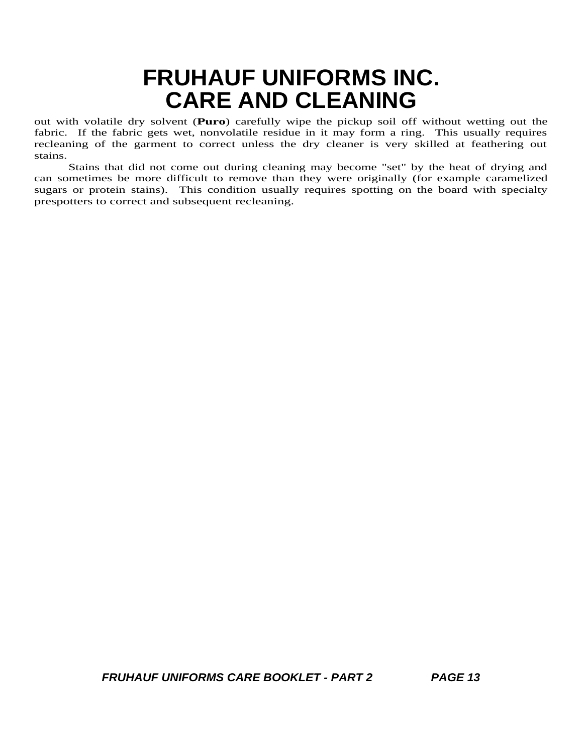out with volatile dry solvent (**Puro**) carefully wipe the pickup soil off without wetting out the fabric. If the fabric gets wet, nonvolatile residue in it may form a ring. This usually requires recleaning of the garment to correct unless the dry cleaner is very skilled at feathering out stains.

Stains that did not come out during cleaning may become "set" by the heat of drying and can sometimes be more difficult to remove than they were originally (for example caramelized sugars or protein stains). This condition usually requires spotting on the board with specialty prespotters to correct and subsequent recleaning.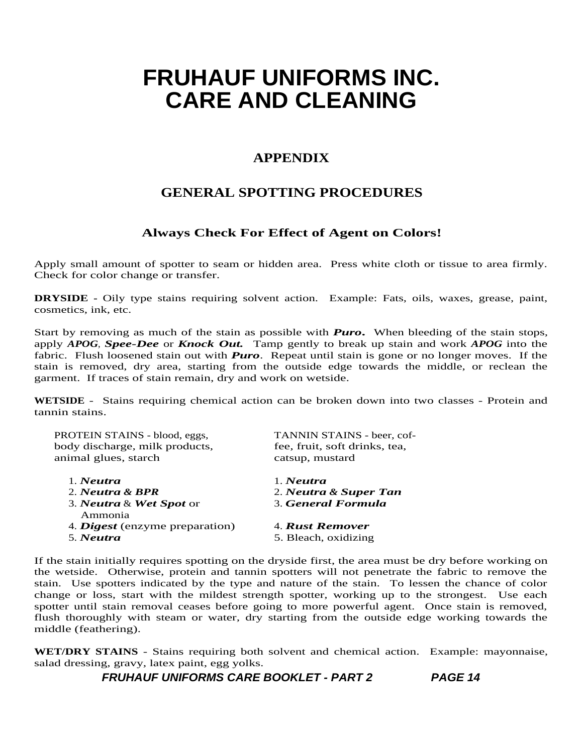### **APPENDIX**

### **GENERAL SPOTTING PROCEDURES**

### **Always Check For Effect of Agent on Colors!**

Apply small amount of spotter to seam or hidden area. Press white cloth or tissue to area firmly. Check for color change or transfer.

**DRYSIDE -** Oily type stains requiring solvent action. Example: Fats, oils, waxes, grease, paint, cosmetics, ink, etc.

Start by removing as much of the stain as possible with *Puro***.** When bleeding of the stain stops, apply *APOG*, *Spee-Dee* or *Knock Out.* Tamp gently to break up stain and work *APOG* into the fabric. Flush loosened stain out with *Puro*. Repeat until stain is gone or no longer moves. If the stain is removed, dry area, starting from the outside edge towards the middle, or reclean the garment. If traces of stain remain, dry and work on wetside.

**WETSIDE** - Stains requiring chemical action can be broken down into two classes - Protein and tannin stains.

| PROTEIN STAINS - blood, eggs,<br>body discharge, milk products,<br>animal glues, starch | TANNIN STAINS - beer, cof-<br>fee, fruit, soft drinks, tea,<br>catsup, mustard |  |  |
|-----------------------------------------------------------------------------------------|--------------------------------------------------------------------------------|--|--|
| 1. Neutra                                                                               | $1.$ <i>Neutra</i>                                                             |  |  |
| 2. Neutra & BPR                                                                         | 2. Neutra & Super Tan                                                          |  |  |
| 3. Neutra & Wet Spot or<br>Ammonia                                                      | 3. General Formula                                                             |  |  |
| 4. Digest (enzyme preparation)                                                          | 4. Rust Remover                                                                |  |  |
| 5. Neutra                                                                               | 5. Bleach, oxidizing                                                           |  |  |
|                                                                                         |                                                                                |  |  |

If the stain initially requires spotting on the dryside first, the area must be dry before working on the wetside. Otherwise, protein and tannin spotters will not penetrate the fabric to remove the stain. Use spotters indicated by the type and nature of the stain. To lessen the chance of color change or loss, start with the mildest strength spotter, working up to the strongest. Use each spotter until stain removal ceases before going to more powerful agent. Once stain is removed, flush thoroughly with steam or water, dry starting from the outside edge working towards the middle (feathering).

**WET/DRY STAINS** - Stains requiring both solvent and chemical action. Example: mayonnaise, salad dressing, gravy, latex paint, egg yolks.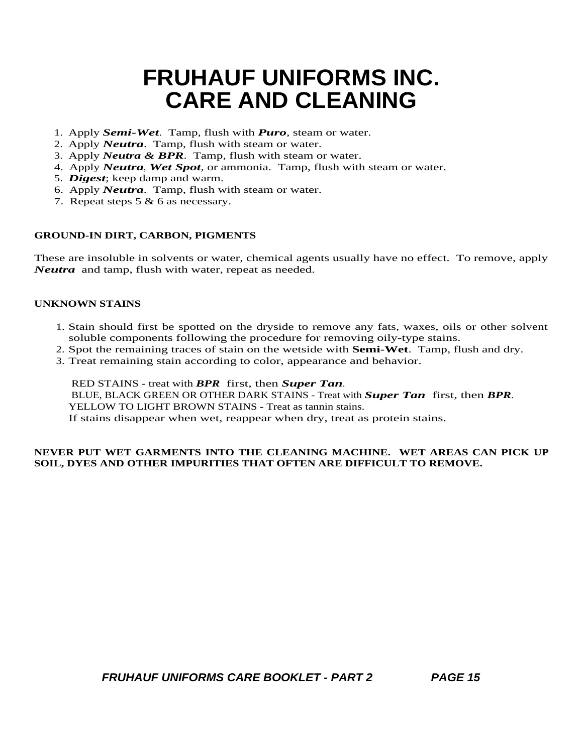- 1. Apply *Semi-Wet*. Tamp, flush with *Puro*, steam or water.
- 2. Apply *Neutra*. Tamp, flush with steam or water.
- 3. Apply *Neutra & BPR*. Tamp, flush with steam or water.
- 4. Apply *Neutra*, *Wet Spot*, or ammonia. Tamp, flush with steam or water.
- 5. *Digest*; keep damp and warm.
- 6. Apply *Neutra*. Tamp, flush with steam or water.
- 7. Repeat steps 5 & 6 as necessary.

### **GROUND-IN DIRT, CARBON, PIGMENTS**

These are insoluble in solvents or water, chemical agents usually have no effect. To remove, apply *Neutra* and tamp, flush with water, repeat as needed.

#### **UNKNOWN STAINS**

- 1. Stain should first be spotted on the dryside to remove any fats, waxes, oils or other solvent soluble components following the procedure for removing oily-type stains.
- 2. Spot the remaining traces of stain on the wetside with **Semi-Wet**. Tamp, flush and dry.
- 3. Treat remaining stain according to color, appearance and behavior.

RED STAINS - treat with *BPR* first, then *Super Tan*. BLUE, BLACK GREEN OR OTHER DARK STAINS - Treat with *Super Tan* first, then *BPR*. YELLOW TO LIGHT BROWN STAINS - Treat as tannin stains. If stains disappear when wet, reappear when dry, treat as protein stains.

### **NEVER PUT WET GARMENTS INTO THE CLEANING MACHINE. WET AREAS CAN PICK UP SOIL, DYES AND OTHER IMPURITIES THAT OFTEN ARE DIFFICULT TO REMOVE.**